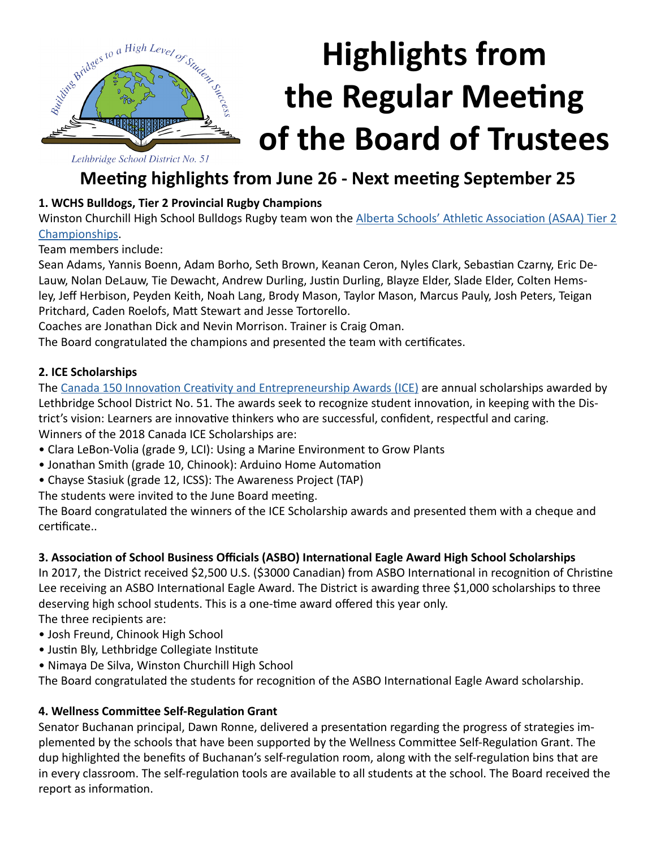

# **Highlights from the Regular Meeting of the Board of Trustees**

Lethbridge School District No. 51

### **Meeting highlights from June 26 - Next meeting September 25**

#### **1. WCHS Bulldogs, Tier 2 Provincial Rugby Champions**

Winston Churchill High School Bulldogs Rugby team won the [Alberta Schools' Athletic Association \(ASAA\) Tier 2](http://www.lethsd.ab.ca/view.php?action=object&id=70683&stream=Homepage%20News)  [Championships](http://www.lethsd.ab.ca/view.php?action=object&id=70683&stream=Homepage%20News).

Team members include:

Sean Adams, Yannis Boenn, Adam Borho, Seth Brown, Keanan Ceron, Nyles Clark, Sebastian Czarny, Eric De-Lauw, Nolan DeLauw, Tie Dewacht, Andrew Durling, Justin Durling, Blayze Elder, Slade Elder, Colten Hemsley, Jeff Herbison, Peyden Keith, Noah Lang, Brody Mason, Taylor Mason, Marcus Pauly, Josh Peters, Teigan Pritchard, Caden Roelofs, Matt Stewart and Jesse Tortorello.

Coaches are Jonathan Dick and Nevin Morrison. Trainer is Craig Oman.

The Board congratulated the champions and presented the team with certificates.

#### **2. ICE Scholarships**

The [Canada 150 Innovation Creativity and Entrepreneurship Awards \(ICE\)](http://www.lethsd.ab.ca/view.php?action=object&id=69787&stream=Homepage%20News) are annual scholarships awarded by Lethbridge School District No. 51. The awards seek to recognize student innovation, in keeping with the District's vision: Learners are innovative thinkers who are successful, confident, respectful and caring. Winners of the 2018 Canada ICE Scholarships are:

- Clara LeBon-Volia (grade 9, LCI): Using a Marine Environment to Grow Plants
- Jonathan Smith (grade 10, Chinook): Arduino Home Automation
- Chayse Stasiuk (grade 12, ICSS): The Awareness Project (TAP)
- The students were invited to the June Board meeting.

The Board congratulated the winners of the ICE Scholarship awards and presented them with a cheque and certificate..

#### **3. Association of School Business Officials (ASBO) International Eagle Award High School Scholarships**

In 2017, the District received \$2,500 U.S. (\$3000 Canadian) from ASBO International in recognition of Christine Lee receiving an ASBO International Eagle Award. The District is awarding three \$1,000 scholarships to three deserving high school students. This is a one-time award offered this year only.

The three recipients are:

- Josh Freund, Chinook High School
- Justin Bly, Lethbridge Collegiate Institute
- Nimaya De Silva, Winston Churchill High School

The Board congratulated the students for recognition of the ASBO International Eagle Award scholarship.

#### **4. Wellness Committee Self-Regulation Grant**

Senator Buchanan principal, Dawn Ronne, delivered a presentation regarding the progress of strategies implemented by the schools that have been supported by the Wellness Committee Self-Regulation Grant. The dup highlighted the benefits of Buchanan's self-regulation room, along with the self-regulation bins that are in every classroom. The self-regulation tools are available to all students at the school. The Board received the report as information.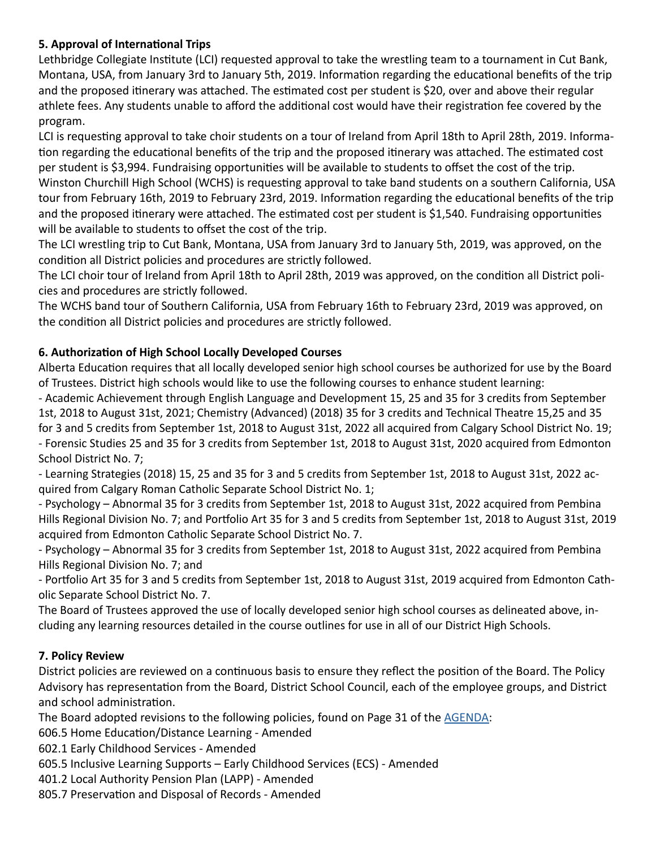#### **5. Approval of International Trips**

Lethbridge Collegiate Institute (LCI) requested approval to take the wrestling team to a tournament in Cut Bank, Montana, USA, from January 3rd to January 5th, 2019. Information regarding the educational benefits of the trip and the proposed itinerary was attached. The estimated cost per student is \$20, over and above their regular athlete fees. Any students unable to afford the additional cost would have their registration fee covered by the program.

LCI is requesting approval to take choir students on a tour of Ireland from April 18th to April 28th, 2019. Information regarding the educational benefits of the trip and the proposed itinerary was attached. The estimated cost per student is \$3,994. Fundraising opportunities will be available to students to offset the cost of the trip. Winston Churchill High School (WCHS) is requesting approval to take band students on a southern California, USA tour from February 16th, 2019 to February 23rd, 2019. Information regarding the educational benefits of the trip and the proposed itinerary were attached. The estimated cost per student is \$1,540. Fundraising opportunities will be available to students to offset the cost of the trip.

The LCI wrestling trip to Cut Bank, Montana, USA from January 3rd to January 5th, 2019, was approved, on the condition all District policies and procedures are strictly followed.

The LCI choir tour of Ireland from April 18th to April 28th, 2019 was approved, on the condition all District policies and procedures are strictly followed.

The WCHS band tour of Southern California, USA from February 16th to February 23rd, 2019 was approved, on the condition all District policies and procedures are strictly followed.

#### **6. Authorization of High School Locally Developed Courses**

Alberta Education requires that all locally developed senior high school courses be authorized for use by the Board of Trustees. District high schools would like to use the following courses to enhance student learning:

- Academic Achievement through English Language and Development 15, 25 and 35 for 3 credits from September 1st, 2018 to August 31st, 2021; Chemistry (Advanced) (2018) 35 for 3 credits and Technical Theatre 15,25 and 35 for 3 and 5 credits from September 1st, 2018 to August 31st, 2022 all acquired from Calgary School District No. 19; - Forensic Studies 25 and 35 for 3 credits from September 1st, 2018 to August 31st, 2020 acquired from Edmonton School District No. 7;

- Learning Strategies (2018) 15, 25 and 35 for 3 and 5 credits from September 1st, 2018 to August 31st, 2022 acquired from Calgary Roman Catholic Separate School District No. 1;

- Psychology – Abnormal 35 for 3 credits from September 1st, 2018 to August 31st, 2022 acquired from Pembina Hills Regional Division No. 7; and Portfolio Art 35 for 3 and 5 credits from September 1st, 2018 to August 31st, 2019 acquired from Edmonton Catholic Separate School District No. 7.

- Psychology – Abnormal 35 for 3 credits from September 1st, 2018 to August 31st, 2022 acquired from Pembina Hills Regional Division No. 7; and

- Portfolio Art 35 for 3 and 5 credits from September 1st, 2018 to August 31st, 2019 acquired from Edmonton Catholic Separate School District No. 7.

The Board of Trustees approved the use of locally developed senior high school courses as delineated above, including any learning resources detailed in the course outlines for use in all of our District High Schools.

#### **7. Policy Review**

District policies are reviewed on a continuous basis to ensure they reflect the position of the Board. The Policy Advisory has representation from the Board, District School Council, each of the employee groups, and District and school administration.

The Board adopted revisions to the following policies, found on Page 31 of the [AGENDA:](http://www.lethsd.ab.ca/documents/general/2018-06-26%20Board%20Meeting%20Agenda.pdf)

606.5 Home Education/Distance Learning - Amended

602.1 Early Childhood Services - Amended

605.5 Inclusive Learning Supports – Early Childhood Services (ECS) - Amended

401.2 Local Authority Pension Plan (LAPP) - Amended

805.7 Preservation and Disposal of Records - Amended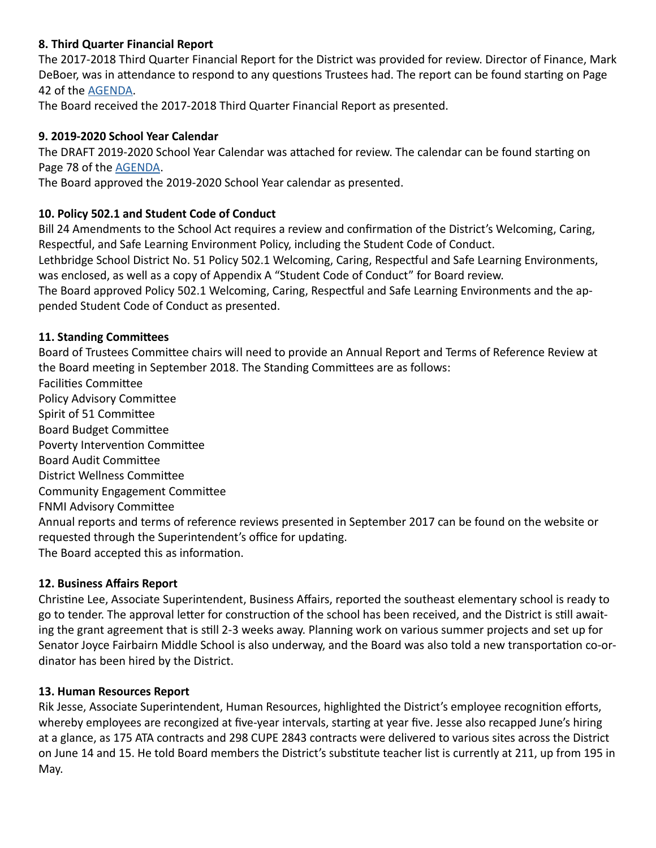#### **8. Third Quarter Financial Report**

The 2017-2018 Third Quarter Financial Report for the District was provided for review. Director of Finance, Mark DeBoer, was in attendance to respond to any questions Trustees had. The report can be found starting on Page 42 of the [AGENDA](http://www.lethsd.ab.ca/documents/general/2018-06-26%20Board%20Meeting%20Agenda.pdf).

The Board received the 2017-2018 Third Quarter Financial Report as presented.

#### **9. 2019-2020 School Year Calendar**

The DRAFT 2019-2020 School Year Calendar was attached for review. The calendar can be found starting on Page 78 of the [AGENDA](http://www.lethsd.ab.ca/documents/general/2018-06-26%20Board%20Meeting%20Agenda.pdf).

The Board approved the 2019-2020 School Year calendar as presented.

#### **10. Policy 502.1 and Student Code of Conduct**

Bill 24 Amendments to the School Act requires a review and confirmation of the District's Welcoming, Caring, Respectful, and Safe Learning Environment Policy, including the Student Code of Conduct.

Lethbridge School District No. 51 Policy 502.1 Welcoming, Caring, Respectful and Safe Learning Environments, was enclosed, as well as a copy of Appendix A "Student Code of Conduct" for Board review.

The Board approved Policy 502.1 Welcoming, Caring, Respectful and Safe Learning Environments and the appended Student Code of Conduct as presented.

#### **11. Standing Committees**

Board of Trustees Committee chairs will need to provide an Annual Report and Terms of Reference Review at the Board meeting in September 2018. The Standing Committees are as follows:

Facilities Committee Policy Advisory Committee Spirit of 51 Committee Board Budget Committee Poverty Intervention Committee Board Audit Committee District Wellness Committee Community Engagement Committee FNMI Advisory Committee Annual reports and terms of reference reviews presented in September 2017 can be found on the website or requested through the Superintendent's office for updating. The Board accepted this as information.

#### **12. Business Affairs Report**

Christine Lee, Associate Superintendent, Business Affairs, reported the southeast elementary school is ready to go to tender. The approval letter for construction of the school has been received, and the District is still awaiting the grant agreement that is still 2-3 weeks away. Planning work on various summer projects and set up for Senator Joyce Fairbairn Middle School is also underway, and the Board was also told a new transportation co-ordinator has been hired by the District.

#### **13. Human Resources Report**

Rik Jesse, Associate Superintendent, Human Resources, highlighted the District's employee recognition efforts, whereby employees are recongized at five-year intervals, starting at year five. Jesse also recapped June's hiring at a glance, as 175 ATA contracts and 298 CUPE 2843 contracts were delivered to various sites across the District on June 14 and 15. He told Board members the District's substitute teacher list is currently at 211, up from 195 in May.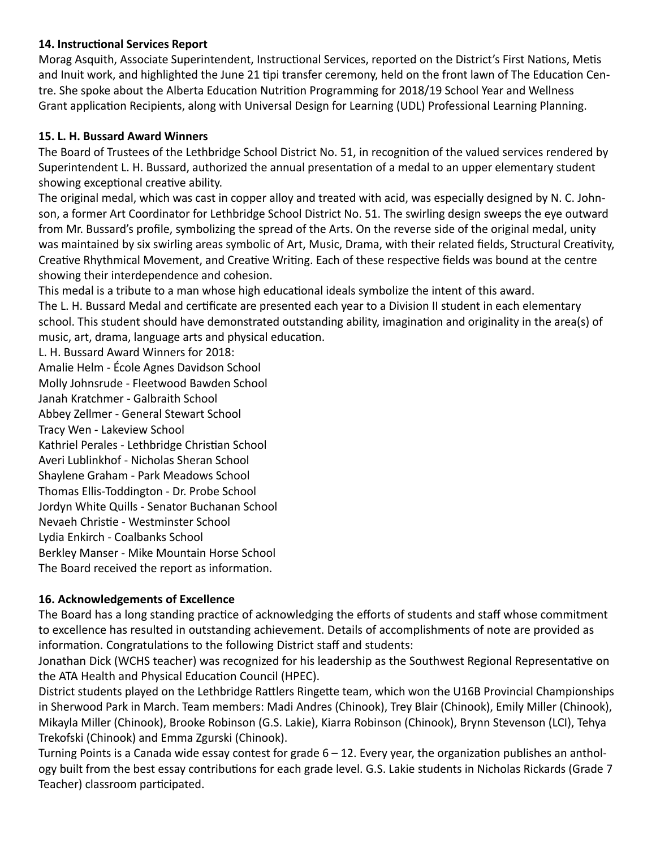#### **14. Instructional Services Report**

Morag Asquith, Associate Superintendent, Instructional Services, reported on the District's First Nations, Metis and Inuit work, and highlighted the June 21 tipi transfer ceremony, held on the front lawn of The Education Centre. She spoke about the Alberta Education Nutrition Programming for 2018/19 School Year and Wellness Grant application Recipients, along with Universal Design for Learning (UDL) Professional Learning Planning.

#### **15. L. H. Bussard Award Winners**

The Board of Trustees of the Lethbridge School District No. 51, in recognition of the valued services rendered by Superintendent L. H. Bussard, authorized the annual presentation of a medal to an upper elementary student showing exceptional creative ability.

The original medal, which was cast in copper alloy and treated with acid, was especially designed by N. C. Johnson, a former Art Coordinator for Lethbridge School District No. 51. The swirling design sweeps the eye outward from Mr. Bussard's profile, symbolizing the spread of the Arts. On the reverse side of the original medal, unity was maintained by six swirling areas symbolic of Art, Music, Drama, with their related fields, Structural Creativity, Creative Rhythmical Movement, and Creative Writing. Each of these respective fields was bound at the centre showing their interdependence and cohesion.

This medal is a tribute to a man whose high educational ideals symbolize the intent of this award. The L. H. Bussard Medal and certificate are presented each year to a Division II student in each elementary school. This student should have demonstrated outstanding ability, imagination and originality in the area(s) of music, art, drama, language arts and physical education.

L. H. Bussard Award Winners for 2018:

Amalie Helm - École Agnes Davidson School Molly Johnsrude - Fleetwood Bawden School Janah Kratchmer - Galbraith School Abbey Zellmer - General Stewart School Tracy Wen - Lakeview School Kathriel Perales - Lethbridge Christian School Averi Lublinkhof - Nicholas Sheran School Shaylene Graham - Park Meadows School Thomas Ellis-Toddington - Dr. Probe School Jordyn White Quills - Senator Buchanan School Nevaeh Christie - Westminster School Lydia Enkirch - Coalbanks School Berkley Manser - Mike Mountain Horse School The Board received the report as information.

#### **16. Acknowledgements of Excellence**

The Board has a long standing practice of acknowledging the efforts of students and staff whose commitment to excellence has resulted in outstanding achievement. Details of accomplishments of note are provided as information. Congratulations to the following District staff and students:

Jonathan Dick (WCHS teacher) was recognized for his leadership as the Southwest Regional Representative on the ATA Health and Physical Education Council (HPEC).

District students played on the Lethbridge Rattlers Ringette team, which won the U16B Provincial Championships in Sherwood Park in March. Team members: Madi Andres (Chinook), Trey Blair (Chinook), Emily Miller (Chinook), Mikayla Miller (Chinook), Brooke Robinson (G.S. Lakie), Kiarra Robinson (Chinook), Brynn Stevenson (LCI), Tehya Trekofski (Chinook) and Emma Zgurski (Chinook).

Turning Points is a Canada wide essay contest for grade 6 – 12. Every year, the organization publishes an anthology built from the best essay contributions for each grade level. G.S. Lakie students in Nicholas Rickards (Grade 7 Teacher) classroom participated.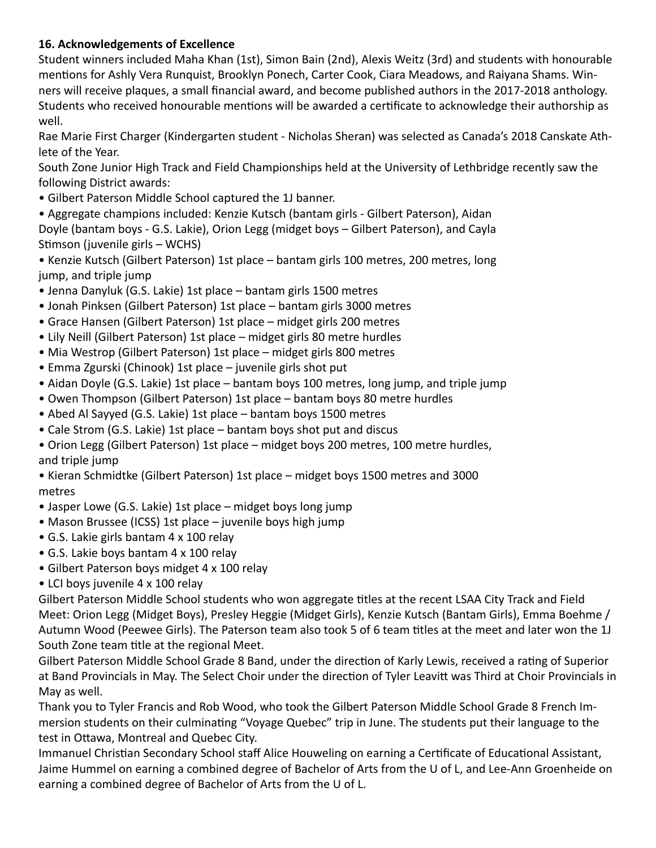#### **16. Acknowledgements of Excellence**

Student winners included Maha Khan (1st), Simon Bain (2nd), Alexis Weitz (3rd) and students with honourable mentions for Ashly Vera Runquist, Brooklyn Ponech, Carter Cook, Ciara Meadows, and Raiyana Shams. Winners will receive plaques, a small financial award, and become published authors in the 2017-2018 anthology. Students who received honourable mentions will be awarded a certificate to acknowledge their authorship as well.

Rae Marie First Charger (Kindergarten student - Nicholas Sheran) was selected as Canada's 2018 Canskate Athlete of the Year.

South Zone Junior High Track and Field Championships held at the University of Lethbridge recently saw the following District awards:

- Gilbert Paterson Middle School captured the 1J banner.
- Aggregate champions included: Kenzie Kutsch (bantam girls Gilbert Paterson), Aidan Doyle (bantam boys - G.S. Lakie), Orion Legg (midget boys – Gilbert Paterson), and Cayla Stimson (juvenile girls – WCHS)
- Kenzie Kutsch (Gilbert Paterson) 1st place bantam girls 100 metres, 200 metres, long jump, and triple jump
- Jenna Danyluk (G.S. Lakie) 1st place bantam girls 1500 metres
- Jonah Pinksen (Gilbert Paterson) 1st place bantam girls 3000 metres
- Grace Hansen (Gilbert Paterson) 1st place midget girls 200 metres
- Lily Neill (Gilbert Paterson) 1st place midget girls 80 metre hurdles
- Mia Westrop (Gilbert Paterson) 1st place midget girls 800 metres
- Emma Zgurski (Chinook) 1st place juvenile girls shot put
- Aidan Doyle (G.S. Lakie) 1st place bantam boys 100 metres, long jump, and triple jump
- Owen Thompson (Gilbert Paterson) 1st place bantam boys 80 metre hurdles
- Abed Al Sayyed (G.S. Lakie) 1st place bantam boys 1500 metres
- Cale Strom (G.S. Lakie) 1st place bantam boys shot put and discus
- Orion Legg (Gilbert Paterson) 1st place midget boys 200 metres, 100 metre hurdles, and triple jump
- Kieran Schmidtke (Gilbert Paterson) 1st place midget boys 1500 metres and 3000 metres
- Jasper Lowe (G.S. Lakie) 1st place midget boys long jump
- Mason Brussee (ICSS) 1st place juvenile boys high jump
- G.S. Lakie girls bantam 4 x 100 relay
- G.S. Lakie boys bantam 4 x 100 relay
- Gilbert Paterson boys midget 4 x 100 relay
- LCI boys juvenile 4 x 100 relay

Gilbert Paterson Middle School students who won aggregate titles at the recent LSAA City Track and Field Meet: Orion Legg (Midget Boys), Presley Heggie (Midget Girls), Kenzie Kutsch (Bantam Girls), Emma Boehme / Autumn Wood (Peewee Girls). The Paterson team also took 5 of 6 team titles at the meet and later won the 1J South Zone team title at the regional Meet.

Gilbert Paterson Middle School Grade 8 Band, under the direction of Karly Lewis, received a rating of Superior at Band Provincials in May. The Select Choir under the direction of Tyler Leavitt was Third at Choir Provincials in May as well.

Thank you to Tyler Francis and Rob Wood, who took the Gilbert Paterson Middle School Grade 8 French Immersion students on their culminating "Voyage Quebec" trip in June. The students put their language to the test in Ottawa, Montreal and Quebec City.

Immanuel Christian Secondary School staff Alice Houweling on earning a Certificate of Educational Assistant, Jaime Hummel on earning a combined degree of Bachelor of Arts from the U of L, and Lee-Ann Groenheide on earning a combined degree of Bachelor of Arts from the U of L.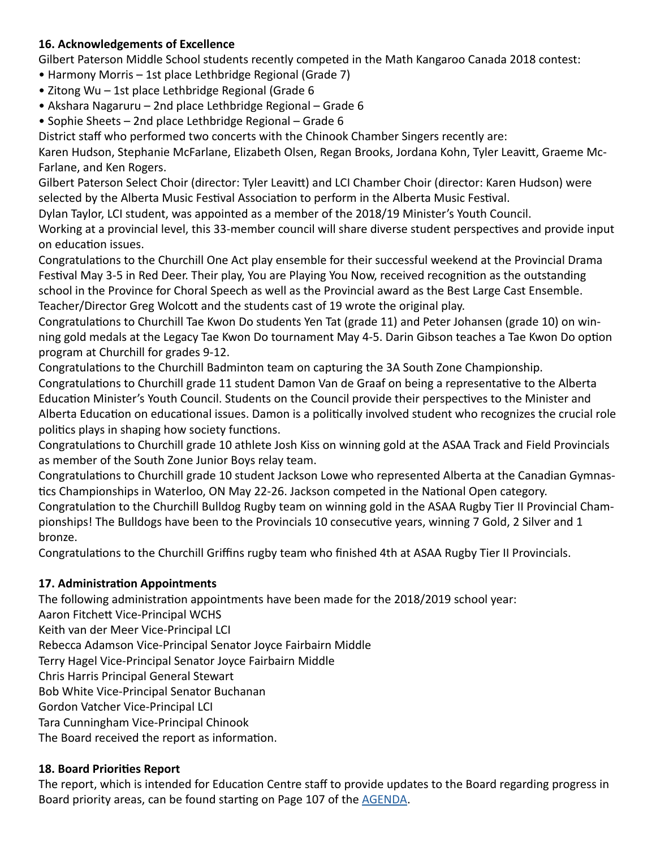#### **16. Acknowledgements of Excellence**

Gilbert Paterson Middle School students recently competed in the Math Kangaroo Canada 2018 contest:

- Harmony Morris 1st place Lethbridge Regional (Grade 7)
- Zitong Wu 1st place Lethbridge Regional (Grade 6
- Akshara Nagaruru 2nd place Lethbridge Regional Grade 6

• Sophie Sheets – 2nd place Lethbridge Regional – Grade 6

District staff who performed two concerts with the Chinook Chamber Singers recently are:

Karen Hudson, Stephanie McFarlane, Elizabeth Olsen, Regan Brooks, Jordana Kohn, Tyler Leavitt, Graeme Mc-Farlane, and Ken Rogers.

Gilbert Paterson Select Choir (director: Tyler Leavitt) and LCI Chamber Choir (director: Karen Hudson) were selected by the Alberta Music Festival Association to perform in the Alberta Music Festival.

Dylan Taylor, LCI student, was appointed as a member of the 2018/19 Minister's Youth Council.

Working at a provincial level, this 33-member council will share diverse student perspectives and provide input on education issues.

Congratulations to the Churchill One Act play ensemble for their successful weekend at the Provincial Drama Festival May 3-5 in Red Deer. Their play, You are Playing You Now, received recognition as the outstanding school in the Province for Choral Speech as well as the Provincial award as the Best Large Cast Ensemble. Teacher/Director Greg Wolcott and the students cast of 19 wrote the original play.

Congratulations to Churchill Tae Kwon Do students Yen Tat (grade 11) and Peter Johansen (grade 10) on winning gold medals at the Legacy Tae Kwon Do tournament May 4-5. Darin Gibson teaches a Tae Kwon Do option program at Churchill for grades 9-12.

Congratulations to the Churchill Badminton team on capturing the 3A South Zone Championship. Congratulations to Churchill grade 11 student Damon Van de Graaf on being a representative to the Alberta Education Minister's Youth Council. Students on the Council provide their perspectives to the Minister and Alberta Education on educational issues. Damon is a politically involved student who recognizes the crucial role politics plays in shaping how society functions.

Congratulations to Churchill grade 10 athlete Josh Kiss on winning gold at the ASAA Track and Field Provincials as member of the South Zone Junior Boys relay team.

Congratulations to Churchill grade 10 student Jackson Lowe who represented Alberta at the Canadian Gymnastics Championships in Waterloo, ON May 22-26. Jackson competed in the National Open category. Congratulation to the Churchill Bulldog Rugby team on winning gold in the ASAA Rugby Tier II Provincial Championships! The Bulldogs have been to the Provincials 10 consecutive years, winning 7 Gold, 2 Silver and 1 bronze.

Congratulations to the Churchill Griffins rugby team who finished 4th at ASAA Rugby Tier II Provincials.

#### **17. Administration Appointments**

The following administration appointments have been made for the 2018/2019 school year: Aaron Fitchett Vice-Principal WCHS Keith van der Meer Vice-Principal LCI Rebecca Adamson Vice-Principal Senator Joyce Fairbairn Middle Terry Hagel Vice-Principal Senator Joyce Fairbairn Middle Chris Harris Principal General Stewart Bob White Vice-Principal Senator Buchanan Gordon Vatcher Vice-Principal LCI Tara Cunningham Vice-Principal Chinook The Board received the report as information.

#### **18. Board Priorities Report**

The report, which is intended for Education Centre staff to provide updates to the Board regarding progress in Board priority areas, can be found starting on Page 107 of the **[AGENDA](http://www.lethsd.ab.ca/documents/general/2018-06-26%20Board%20Meeting%20Agenda.pdf)**.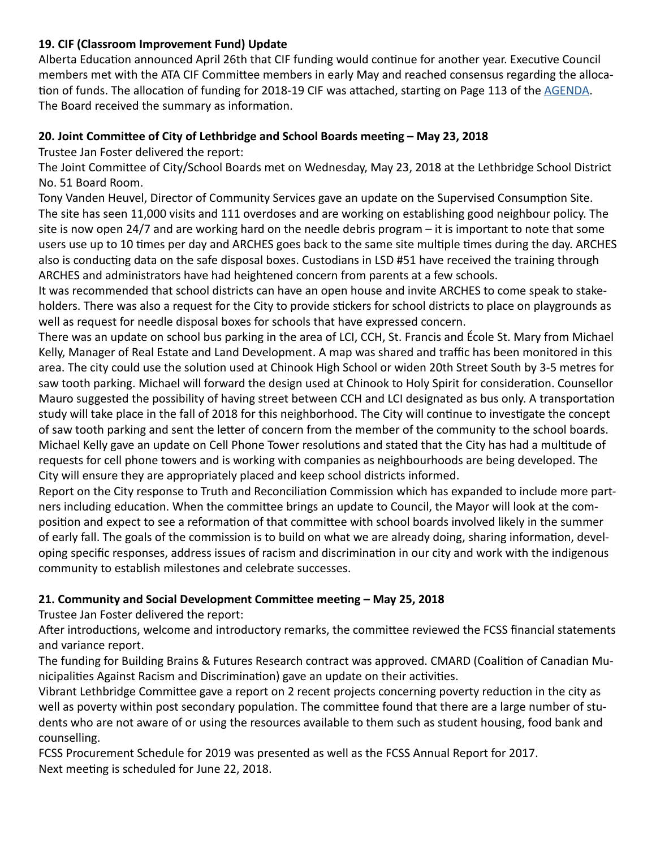#### **19. CIF (Classroom Improvement Fund) Update**

Alberta Education announced April 26th that CIF funding would continue for another year. Executive Council members met with the ATA CIF Committee members in early May and reached consensus regarding the allocation of funds. The allocation of funding for 2018-19 CIF was attached, starting on Page 113 of the [AGENDA](http://www.lethsd.ab.ca/documents/general/2018-06-26%20Board%20Meeting%20Agenda.pdf). The Board received the summary as information.

#### **20. Joint Committee of City of Lethbridge and School Boards meeting – May 23, 2018**

Trustee Jan Foster delivered the report:

The Joint Committee of City/School Boards met on Wednesday, May 23, 2018 at the Lethbridge School District No. 51 Board Room.

Tony Vanden Heuvel, Director of Community Services gave an update on the Supervised Consumption Site. The site has seen 11,000 visits and 111 overdoses and are working on establishing good neighbour policy. The site is now open 24/7 and are working hard on the needle debris program – it is important to note that some users use up to 10 times per day and ARCHES goes back to the same site multiple times during the day. ARCHES also is conducting data on the safe disposal boxes. Custodians in LSD #51 have received the training through ARCHES and administrators have had heightened concern from parents at a few schools.

It was recommended that school districts can have an open house and invite ARCHES to come speak to stakeholders. There was also a request for the City to provide stickers for school districts to place on playgrounds as well as request for needle disposal boxes for schools that have expressed concern.

There was an update on school bus parking in the area of LCI, CCH, St. Francis and École St. Mary from Michael Kelly, Manager of Real Estate and Land Development. A map was shared and traffic has been monitored in this area. The city could use the solution used at Chinook High School or widen 20th Street South by 3-5 metres for saw tooth parking. Michael will forward the design used at Chinook to Holy Spirit for consideration. Counsellor Mauro suggested the possibility of having street between CCH and LCI designated as bus only. A transportation study will take place in the fall of 2018 for this neighborhood. The City will continue to investigate the concept of saw tooth parking and sent the letter of concern from the member of the community to the school boards. Michael Kelly gave an update on Cell Phone Tower resolutions and stated that the City has had a multitude of requests for cell phone towers and is working with companies as neighbourhoods are being developed. The City will ensure they are appropriately placed and keep school districts informed.

Report on the City response to Truth and Reconciliation Commission which has expanded to include more partners including education. When the committee brings an update to Council, the Mayor will look at the composition and expect to see a reformation of that committee with school boards involved likely in the summer of early fall. The goals of the commission is to build on what we are already doing, sharing information, developing specific responses, address issues of racism and discrimination in our city and work with the indigenous community to establish milestones and celebrate successes.

#### **21. Community and Social Development Committee meeting – May 25, 2018**

Trustee Jan Foster delivered the report:

After introductions, welcome and introductory remarks, the committee reviewed the FCSS financial statements and variance report.

The funding for Building Brains & Futures Research contract was approved. CMARD (Coalition of Canadian Municipalities Against Racism and Discrimination) gave an update on their activities.

Vibrant Lethbridge Committee gave a report on 2 recent projects concerning poverty reduction in the city as well as poverty within post secondary population. The committee found that there are a large number of students who are not aware of or using the resources available to them such as student housing, food bank and counselling.

FCSS Procurement Schedule for 2019 was presented as well as the FCSS Annual Report for 2017. Next meeting is scheduled for June 22, 2018.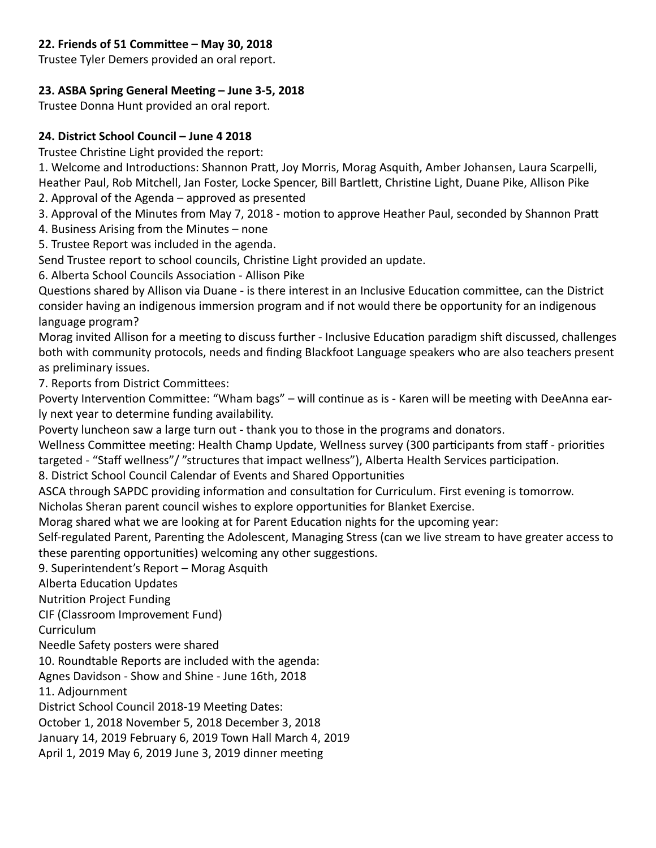#### **22. Friends of 51 Committee – May 30, 2018**

Trustee Tyler Demers provided an oral report.

#### **23. ASBA Spring General Meeting – June 3-5, 2018**

Trustee Donna Hunt provided an oral report.

#### **24. District School Council – June 4 2018**

Trustee Christine Light provided the report:

1. Welcome and Introductions: Shannon Pratt, Joy Morris, Morag Asquith, Amber Johansen, Laura Scarpelli, Heather Paul, Rob Mitchell, Jan Foster, Locke Spencer, Bill Bartlett, Christine Light, Duane Pike, Allison Pike

2. Approval of the Agenda – approved as presented

3. Approval of the Minutes from May 7, 2018 - motion to approve Heather Paul, seconded by Shannon Pratt

4. Business Arising from the Minutes – none

5. Trustee Report was included in the agenda.

Send Trustee report to school councils, Christine Light provided an update.

6. Alberta School Councils Association - Allison Pike

Questions shared by Allison via Duane - is there interest in an Inclusive Education committee, can the District consider having an indigenous immersion program and if not would there be opportunity for an indigenous language program?

Morag invited Allison for a meeting to discuss further - Inclusive Education paradigm shift discussed, challenges both with community protocols, needs and finding Blackfoot Language speakers who are also teachers present as preliminary issues.

7. Reports from District Committees:

Poverty Intervention Committee: "Wham bags" – will continue as is - Karen will be meeting with DeeAnna early next year to determine funding availability.

Poverty luncheon saw a large turn out - thank you to those in the programs and donators.

Wellness Committee meeting: Health Champ Update, Wellness survey (300 participants from staff - priorities targeted - "Staff wellness"/ "structures that impact wellness"), Alberta Health Services participation.

8. District School Council Calendar of Events and Shared Opportunities

ASCA through SAPDC providing information and consultation for Curriculum. First evening is tomorrow.

Nicholas Sheran parent council wishes to explore opportunities for Blanket Exercise.

Morag shared what we are looking at for Parent Education nights for the upcoming year:

Self-regulated Parent, Parenting the Adolescent, Managing Stress (can we live stream to have greater access to these parenting opportunities) welcoming any other suggestions.

9. Superintendent's Report – Morag Asquith

Alberta Education Updates

Nutrition Project Funding

CIF (Classroom Improvement Fund)

Curriculum

Needle Safety posters were shared

10. Roundtable Reports are included with the agenda:

Agnes Davidson - Show and Shine - June 16th, 2018

11. Adjournment

District School Council 2018-19 Meeting Dates:

October 1, 2018 November 5, 2018 December 3, 2018

January 14, 2019 February 6, 2019 Town Hall March 4, 2019

April 1, 2019 May 6, 2019 June 3, 2019 dinner meeting